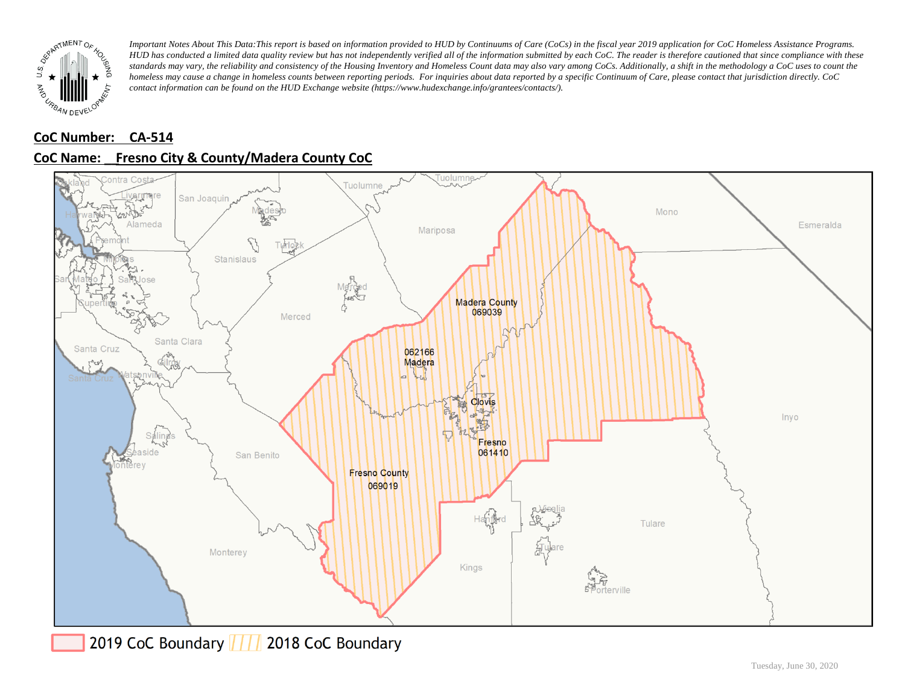

# **CoC Number: CA-514**

# **CoC Name: \_\_ Fresno City & County/Madera County CoC**



2019 CoC Boundary 777 2018 CoC Boundary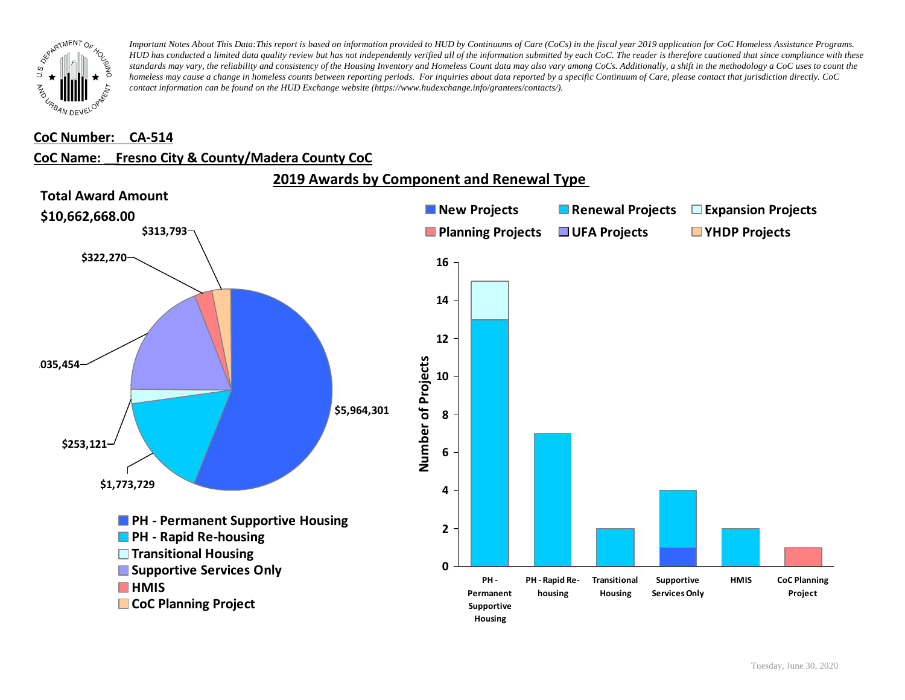

#### **CoC Number: CA-514**

### **CoC Name: \_\_ Fresno City & County/Madera County CoC**

**2019 Awards by Component and Renewal Type** 

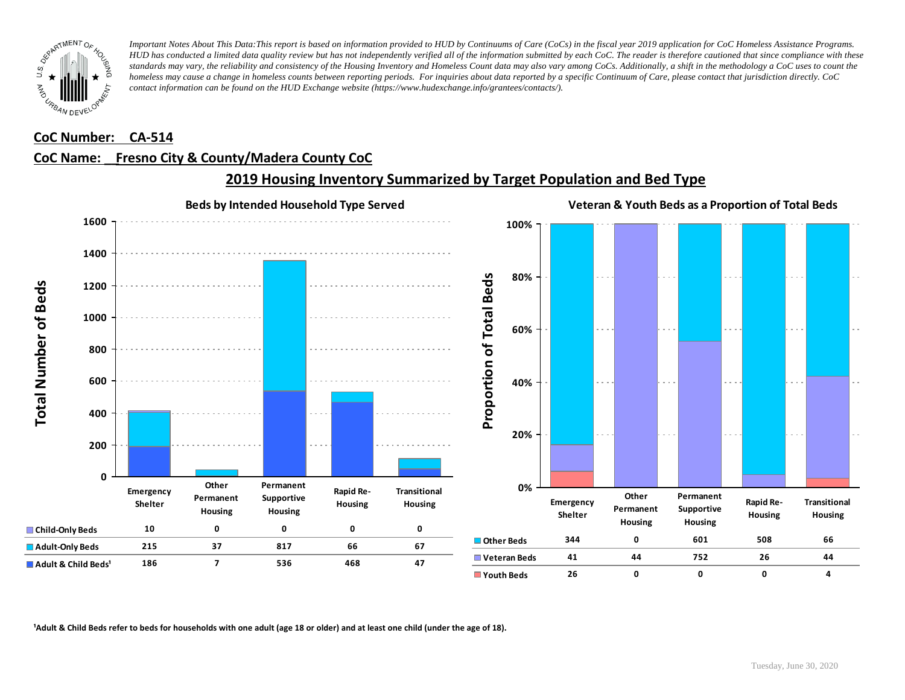

#### **CoC Number: CA-514**

## **CoC Name: \_\_ Fresno City & County/Madera County CoC**



# **2019 Housing Inventory Summarized by Target Population and Bed Type**

<sup>1</sup> Adult & Child Beds refer to beds for households with one adult (age 18 or older) and at least one child (under the age of 18).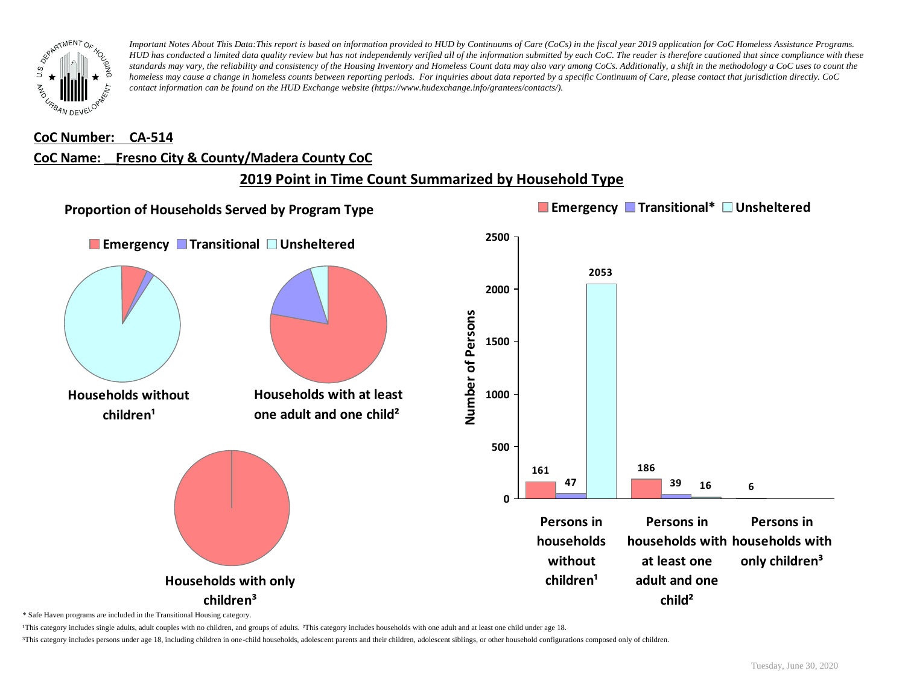

#### **CoC Number: CA-514**

### **CoC Name: \_\_ Fresno City & County/Madera County CoC**

# **2019 Point in Time Count Summarized by Household Type**



\* Safe Haven programs are included in the Transitional Housing category.

¹This category includes single adults, adult couples with no children, and groups of adults. ²This category includes households with one adult and at least one child under age 18.

³This category includes persons under age 18, including children in one-child households, adolescent parents and their children, adolescent siblings, or other household configurations composed only of children.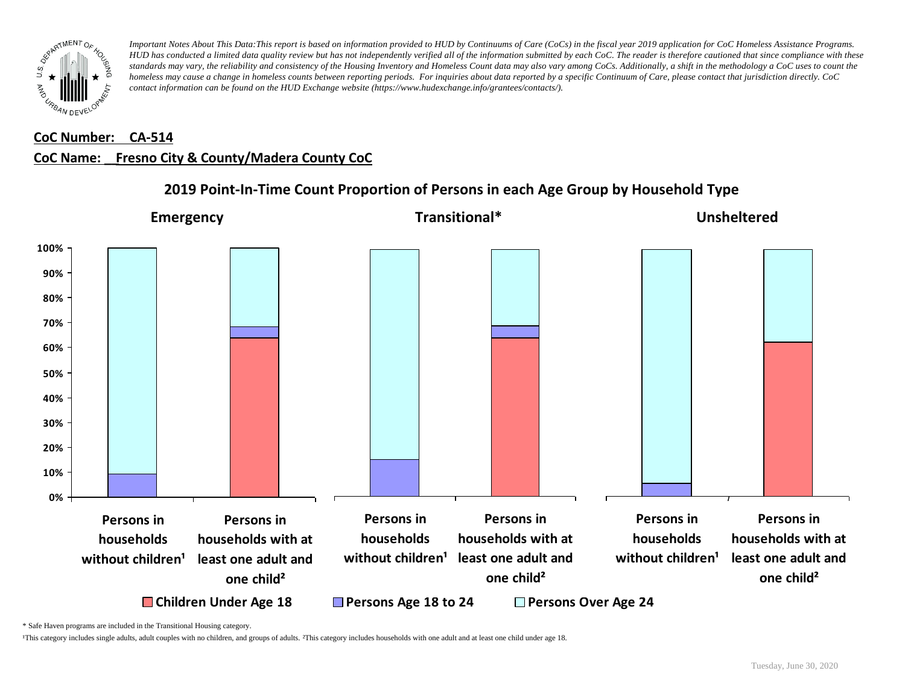

#### **CoC Number: CA-514**

## **CoC Name: \_\_ Fresno City & County/Madera County CoC**



# **2019 Point-In-Time Count Proportion of Persons in each Age Group by Household Type**

\* Safe Haven programs are included in the Transitional Housing category.

¹This category includes single adults, adult couples with no children, and groups of adults. ²This category includes households with one adult and at least one child under age 18.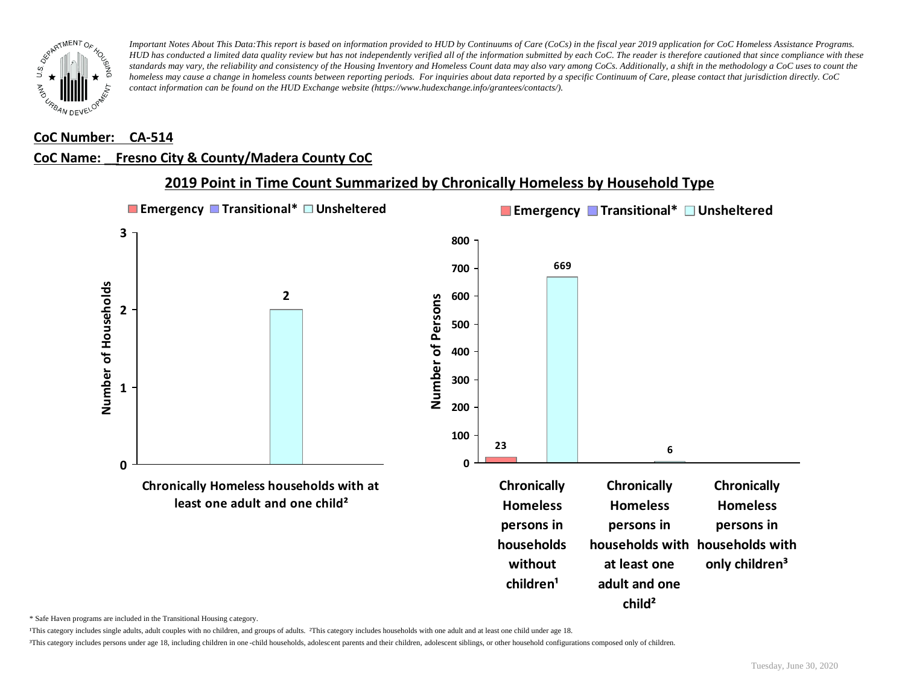

#### **CoC Number: CA-514**

### **CoC Name: \_\_ Fresno City & County/Madera County CoC**



## **2019 Point in Time Count Summarized by Chronically Homeless by Household Type**

\* Safe Haven programs are included in the Transitional Housing category.

¹This category includes single adults, adult couples with no children, and groups of adults. ²This category includes households with one adult and at least one child under age 18.

³This category includes persons under age 18, including children in one -child households, adolescent parents and their children, adolescent siblings, or other household configurations composed only of children.